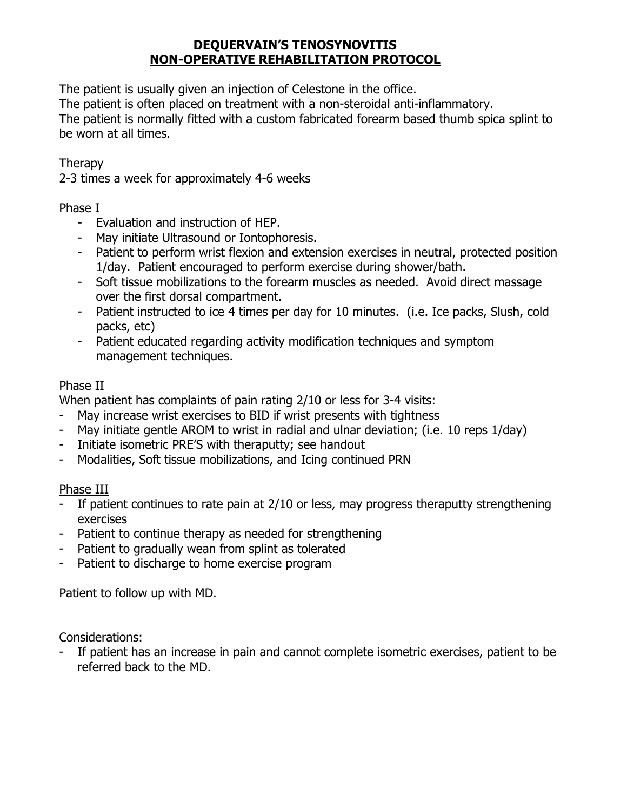# **DEQUERVAIN'S TENOSYNOVITIS NON-OPERATIVE REHABILITATION PROTOCOL**

The patient is usually given an injection of Celestone in the office.

The patient is often placed on treatment with a non-steroidal anti-inflammatory.

The patient is normally fitted with a custom fabricated forearm based thumb spica splint to be worn at all times.

## **Therapy**

2-3 times a week for approximately 4-6 weeks

## Phase I

- Evaluation and instruction of HEP.
- May initiate Ultrasound or Iontophoresis.
- Patient to perform wrist flexion and extension exercises in neutral, protected position 1/day. Patient encouraged to perform exercise during shower/bath.
- Soft tissue mobilizations to the forearm muscles as needed. Avoid direct massage over the first dorsal compartment.
- Patient instructed to ice 4 times per day for 10 minutes. (i.e. Ice packs, Slush, cold packs, etc)
- Patient educated regarding activity modification techniques and symptom management techniques.

# Phase II

When patient has complaints of pain rating 2/10 or less for 3-4 visits:

- May increase wrist exercises to BID if wrist presents with tightness
- May initiate gentle AROM to wrist in radial and ulnar deviation; (i.e. 10 reps 1/day)
- Initiate isometric PRE'S with theraputty; see handout
- Modalities, Soft tissue mobilizations, and Icing continued PRN

# Phase III

- If patient continues to rate pain at 2/10 or less, may progress theraputty strengthening exercises
- Patient to continue therapy as needed for strengthening
- Patient to gradually wean from splint as tolerated
- Patient to discharge to home exercise program

Patient to follow up with MD.

Considerations:

- If patient has an increase in pain and cannot complete isometric exercises, patient to be referred back to the MD.